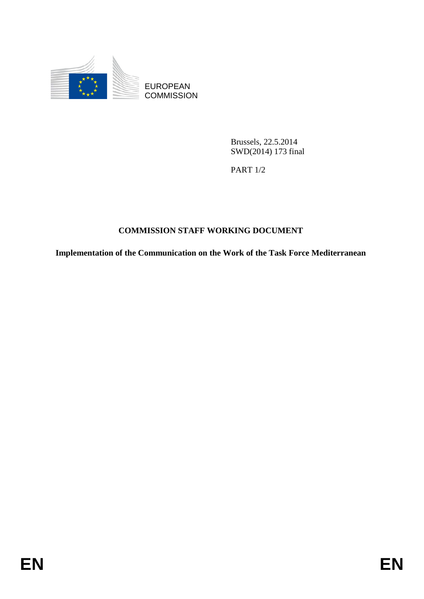

EUROPEAN **COMMISSION** 

> Brussels, 22.5.2014 SWD(2014) 173 final

PART 1/2

# **COMMISSION STAFF WORKING DOCUMENT**

**Implementation of the Communication on the Work of the Task Force Mediterranean**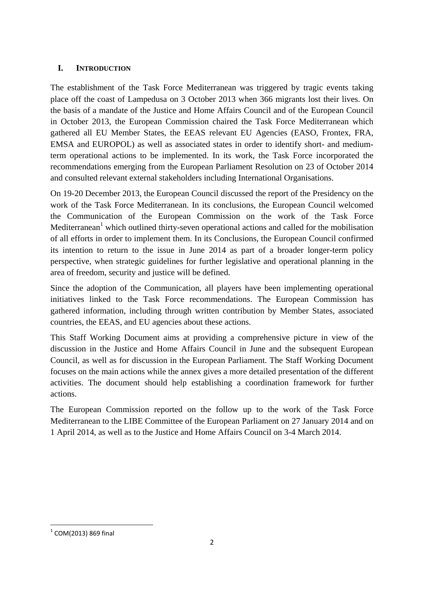### **I. INTRODUCTION**

The establishment of the Task Force Mediterranean was triggered by tragic events taking place off the coast of Lampedusa on 3 October 2013 when 366 migrants lost their lives. On the basis of a mandate of the Justice and Home Affairs Council and of the European Council in October 2013, the European Commission chaired the Task Force Mediterranean which gathered all EU Member States, the EEAS relevant EU Agencies (EASO, Frontex, FRA, EMSA and EUROPOL) as well as associated states in order to identify short- and mediumterm operational actions to be implemented. In its work, the Task Force incorporated the recommendations emerging from the European Parliament Resolution on 23 of October 2014 and consulted relevant external stakeholders including International Organisations.

On 19-20 December 2013, the European Council discussed the report of the Presidency on the work of the Task Force Mediterranean. In its conclusions, the European Council welcomed the Communication of the European Commission on the work of the Task Force Mediterranean<sup>1</sup> which outlined thirty-seven operational actions and called for the mobilisation of all efforts in order to implement them. In its Conclusions, the European Council confirmed its intention to return to the issue in June 2014 as part of a broader longer-term policy perspective, when strategic guidelines for further legislative and operational planning in the area of freedom, security and justice will be defined.

Since the adoption of the Communication, all players have been implementing operational initiatives linked to the Task Force recommendations. The European Commission has gathered information, including through written contribution by Member States, associated countries, the EEAS, and EU agencies about these actions.

This Staff Working Document aims at providing a comprehensive picture in view of the discussion in the Justice and Home Affairs Council in June and the subsequent European Council, as well as for discussion in the European Parliament. The Staff Working Document focuses on the main actions while the annex gives a more detailed presentation of the different activities. The document should help establishing a coordination framework for further actions.

The European Commission reported on the follow up to the work of the Task Force Mediterranean to the LIBE Committee of the European Parliament on 27 January 2014 and on 1 April 2014, as well as to the Justice and Home Affairs Council on 3-4 March 2014.

**<sup>.</sup>**  $1$  COM(2013) 869 final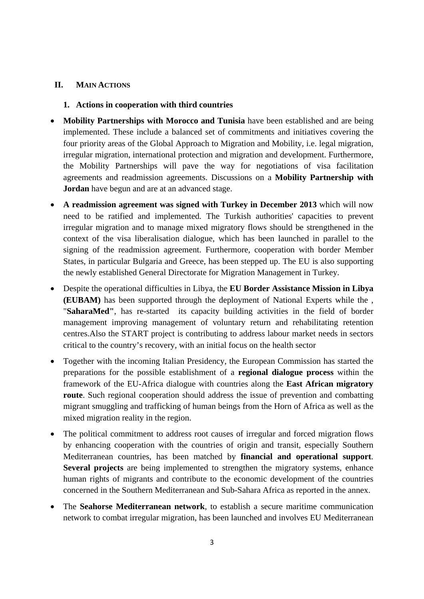### **II. MAIN ACTIONS**

#### **1. Actions in cooperation with third countries**

- **Mobility Partnerships with Morocco and Tunisia** have been established and are being implemented. These include a balanced set of commitments and initiatives covering the four priority areas of the Global Approach to Migration and Mobility, i.e. legal migration, irregular migration, international protection and migration and development. Furthermore, the Mobility Partnerships will pave the way for negotiations of visa facilitation agreements and readmission agreements. Discussions on a **Mobility Partnership with Jordan** have begun and are at an advanced stage.
- **A readmission agreement was signed with Turkey in December 2013** which will now need to be ratified and implemented. The Turkish authorities' capacities to prevent irregular migration and to manage mixed migratory flows should be strengthened in the context of the visa liberalisation dialogue, which has been launched in parallel to the signing of the readmission agreement. Furthermore, cooperation with border Member States, in particular Bulgaria and Greece, has been stepped up. The EU is also supporting the newly established General Directorate for Migration Management in Turkey.
- Despite the operational difficulties in Libya, the **EU Border Assistance Mission in Libya (EUBAM)** has been supported through the deployment of National Experts while the , "**SaharaMed"**, has re-started its capacity building activities in the field of border management improving management of voluntary return and rehabilitating retention centres.Also the START project is contributing to address labour market needs in sectors critical to the country's recovery, with an initial focus on the health sector
- Together with the incoming Italian Presidency, the European Commission has started the preparations for the possible establishment of a **regional dialogue process** within the framework of the EU-Africa dialogue with countries along the **East African migratory route**. Such regional cooperation should address the issue of prevention and combatting migrant smuggling and trafficking of human beings from the Horn of Africa as well as the mixed migration reality in the region.
- The political commitment to address root causes of irregular and forced migration flows by enhancing cooperation with the countries of origin and transit, especially Southern Mediterranean countries, has been matched by **financial and operational support**. **Several projects** are being implemented to strengthen the migratory systems, enhance human rights of migrants and contribute to the economic development of the countries concerned in the Southern Mediterranean and Sub-Sahara Africa as reported in the annex.
- The **Seahorse Mediterranean network**, to establish a secure maritime communication network to combat irregular migration, has been launched and involves EU Mediterranean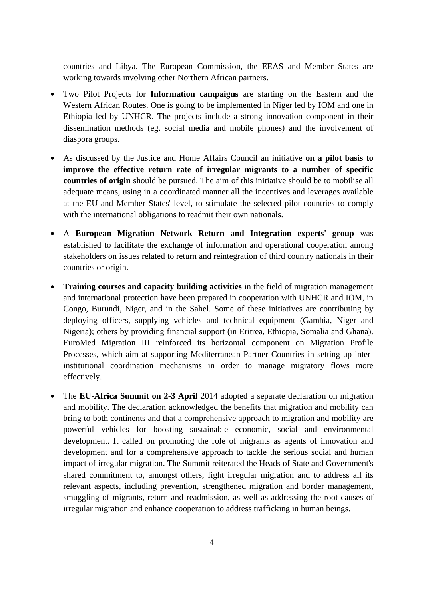countries and Libya. The European Commission, the EEAS and Member States are working towards involving other Northern African partners.

- Two Pilot Projects for **Information campaigns** are starting on the Eastern and the Western African Routes. One is going to be implemented in Niger led by IOM and one in Ethiopia led by UNHCR. The projects include a strong innovation component in their dissemination methods (eg. social media and mobile phones) and the involvement of diaspora groups.
- As discussed by the Justice and Home Affairs Council an initiative **on a pilot basis to improve the effective return rate of irregular migrants to a number of specific countries of origin** should be pursued. The aim of this initiative should be to mobilise all adequate means, using in a coordinated manner all the incentives and leverages available at the EU and Member States' level, to stimulate the selected pilot countries to comply with the international obligations to readmit their own nationals.
- A **European Migration Network Return and Integration experts' group** was established to facilitate the exchange of information and operational cooperation among stakeholders on issues related to return and reintegration of third country nationals in their countries or origin.
- **Training courses and capacity building activities** in the field of migration management and international protection have been prepared in cooperation with UNHCR and IOM, in Congo, Burundi, Niger, and in the Sahel. Some of these initiatives are contributing by deploying officers, supplying vehicles and technical equipment (Gambia, Niger and Nigeria); others by providing financial support (in Eritrea, Ethiopia, Somalia and Ghana). EuroMed Migration III reinforced its horizontal component on Migration Profile Processes, which aim at supporting Mediterranean Partner Countries in setting up interinstitutional coordination mechanisms in order to manage migratory flows more effectively.
- The **EU-Africa Summit on 2-3 April** 2014 adopted a separate declaration on migration and mobility. The declaration acknowledged the benefits that migration and mobility can bring to both continents and that a comprehensive approach to migration and mobility are powerful vehicles for boosting sustainable economic, social and environmental development. It called on promoting the role of migrants as agents of innovation and development and for a comprehensive approach to tackle the serious social and human impact of irregular migration. The Summit reiterated the Heads of State and Government's shared commitment to, amongst others, fight irregular migration and to address all its relevant aspects, including prevention, strengthened migration and border management, smuggling of migrants, return and readmission, as well as addressing the root causes of irregular migration and enhance cooperation to address trafficking in human beings.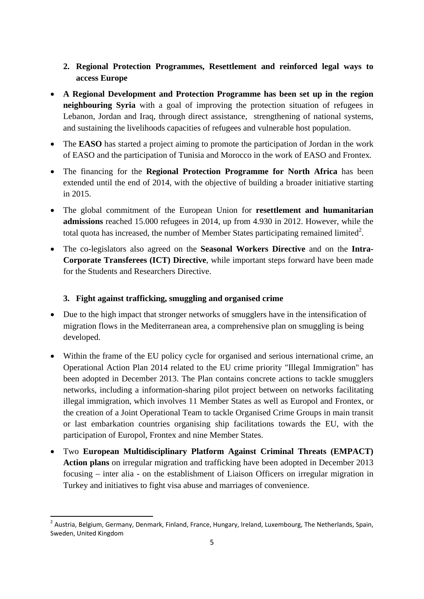- **2. Regional Protection Programmes, Resettlement and reinforced legal ways to access Europe**
- **A Regional Development and Protection Programme has been set up in the region neighbouring Syria** with a goal of improving the protection situation of refugees in Lebanon, Jordan and Iraq, through direct assistance, strengthening of national systems, and sustaining the livelihoods capacities of refugees and vulnerable host population.
- The **EASO** has started a project aiming to promote the participation of Jordan in the work of EASO and the participation of Tunisia and Morocco in the work of EASO and Frontex.
- The financing for the **Regional Protection Programme for North Africa** has been extended until the end of 2014, with the objective of building a broader initiative starting in 2015.
- The global commitment of the European Union for **resettlement and humanitarian admissions** reached 15.000 refugees in 2014, up from 4.930 in 2012. However, while the total quota has increased, the number of Member States participating remained limited<sup>2</sup>.
- The co-legislators also agreed on the **Seasonal Workers Directive** and on the **Intra-Corporate Transferees (ICT) Directive**, while important steps forward have been made for the Students and Researchers Directive.

### **3. Fight against trafficking, smuggling and organised crime**

- Due to the high impact that stronger networks of smugglers have in the intensification of migration flows in the Mediterranean area, a comprehensive plan on smuggling is being developed.
- Within the frame of the EU policy cycle for organised and serious international crime, an Operational Action Plan 2014 related to the EU crime priority "Illegal Immigration" has been adopted in December 2013. The Plan contains concrete actions to tackle smugglers networks, including a information-sharing pilot project between on networks facilitating illegal immigration, which involves 11 Member States as well as Europol and Frontex, or the creation of a Joint Operational Team to tackle Organised Crime Groups in main transit or last embarkation countries organising ship facilitations towards the EU, with the participation of Europol, Frontex and nine Member States.
- Two **European Multidisciplinary Platform Against Criminal Threats (EMPACT) Action plans** on irregular migration and trafficking have been adopted in December 2013 focusing – inter alia - on the establishment of Liaison Officers on irregular migration in Turkey and initiatives to fight visa abuse and marriages of convenience.

 2 Austria, Belgium, Germany, Denmark, Finland, France, Hungary, Ireland, Luxembourg, The Netherlands, Spain, Sweden, United Kingdom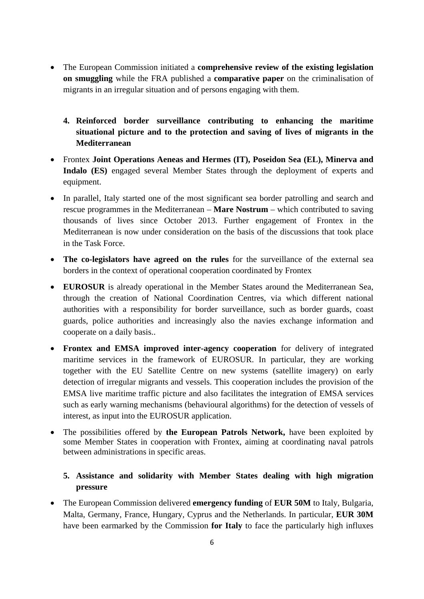- The European Commission initiated a **comprehensive review of the existing legislation on smuggling** while the FRA published a **comparative paper** on the criminalisation of migrants in an irregular situation and of persons engaging with them.
	- **4. Reinforced border surveillance contributing to enhancing the maritime situational picture and to the protection and saving of lives of migrants in the Mediterranean**
- Frontex **Joint Operations Aeneas and Hermes (IT), Poseidon Sea (EL), Minerva and Indalo (ES)** engaged several Member States through the deployment of experts and equipment.
- In parallel, Italy started one of the most significant sea border patrolling and search and rescue programmes in the Mediterranean – **Mare Nostrum** – which contributed to saving thousands of lives since October 2013. Further engagement of Frontex in the Mediterranean is now under consideration on the basis of the discussions that took place in the Task Force.
- **The co-legislators have agreed on the rules** for the surveillance of the external sea borders in the context of operational cooperation coordinated by Frontex
- **EUROSUR** is already operational in the Member States around the Mediterranean Sea, through the creation of National Coordination Centres, via which different national authorities with a responsibility for border surveillance, such as border guards, coast guards, police authorities and increasingly also the navies exchange information and cooperate on a daily basis..
- **Frontex and EMSA improved inter-agency cooperation** for delivery of integrated maritime services in the framework of EUROSUR. In particular, they are working together with the EU Satellite Centre on new systems (satellite imagery) on early detection of irregular migrants and vessels. This cooperation includes the provision of the EMSA live maritime traffic picture and also facilitates the integration of EMSA services such as early warning mechanisms (behavioural algorithms) for the detection of vessels of interest, as input into the EUROSUR application.
- The possibilities offered by **the European Patrols Network,** have been exploited by some Member States in cooperation with Frontex, aiming at coordinating naval patrols between administrations in specific areas.

## **5. Assistance and solidarity with Member States dealing with high migration pressure**

• The European Commission delivered **emergency funding** of **EUR 50M** to Italy, Bulgaria, Malta, Germany, France, Hungary, Cyprus and the Netherlands. In particular, **EUR 30M** have been earmarked by the Commission **for Italy** to face the particularly high influxes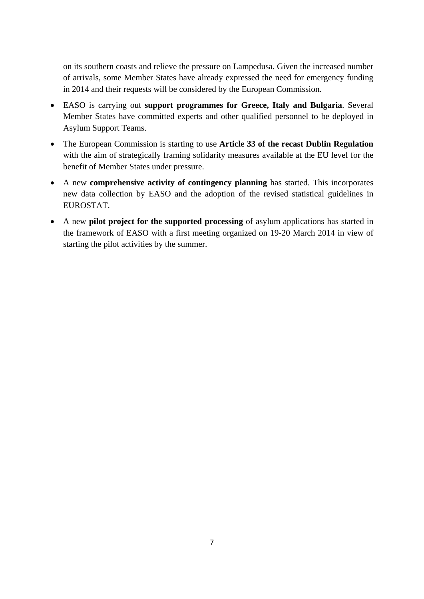on its southern coasts and relieve the pressure on Lampedusa. Given the increased number of arrivals, some Member States have already expressed the need for emergency funding in 2014 and their requests will be considered by the European Commission.

- EASO is carrying out **support programmes for Greece, Italy and Bulgaria**. Several Member States have committed experts and other qualified personnel to be deployed in Asylum Support Teams.
- The European Commission is starting to use **Article 33 of the recast Dublin Regulation** with the aim of strategically framing solidarity measures available at the EU level for the benefit of Member States under pressure.
- A new **comprehensive activity of contingency planning** has started. This incorporates new data collection by EASO and the adoption of the revised statistical guidelines in EUROSTAT.
- A new **pilot project for the supported processing** of asylum applications has started in the framework of EASO with a first meeting organized on 19-20 March 2014 in view of starting the pilot activities by the summer.